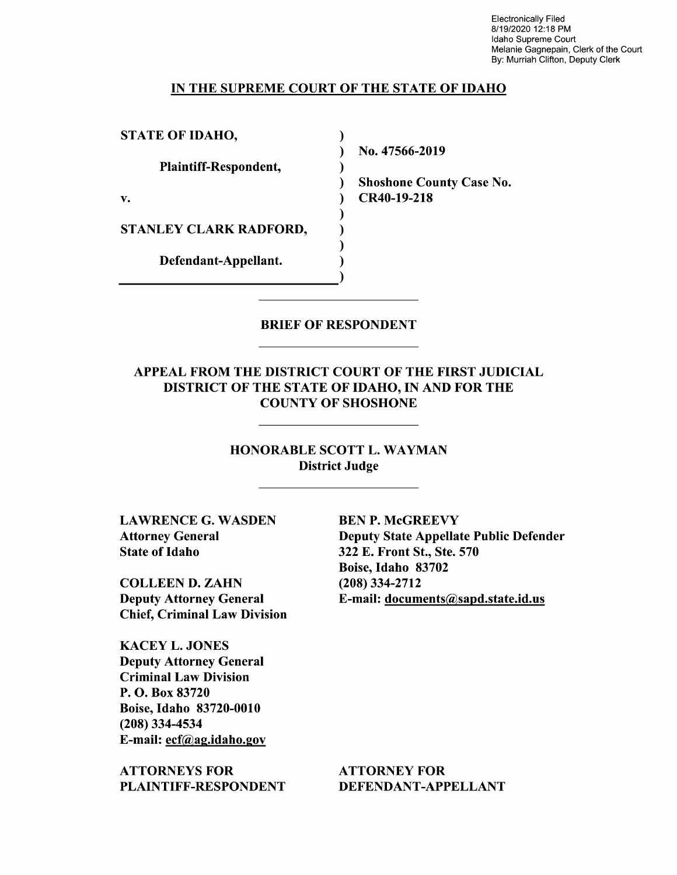Electronically Filed 8/19/2020 12:18 PM Idaho Supreme Court Melanie Gagnepain, Clerk of the Court By: Murriah Clifton, Deputy Clerk

#### IN THE SUPREME COURT OF THE STATE OF IDAHO

 $\lambda$  $\mathcal{E}$  $\lambda$  $\lambda$ 

 $\lambda$ 

 $\lambda$ ſ

STATE OF IDAHO,

Plaintiff—Respondent,

STANLEY CLARK RADFORD,

Defendant—Appellant.

N0. 47566-2019

Shoshone County Case N0. v. CR40-19-218

### BRIEF OF RESPONDENT

APPEAL FROM THE DISTRICT COURT OF THE FIRST JUDICIAL DISTRICT OF THE STATE OF IDAHO, IN AND FOR THE COUNTY OF SHOSHONE

> HONORABLE SCOTT L. WAYMAN District Judge

LAWRENCE G. WASDEN BEN P. McGREEVY State of Idaho 322 E. Front St., Ste. 570

COLLEEN D. ZAHN (208) 334-2712 Deputy Attorney General E-mail: documents@sapd.state.id.us Chief, Criminal Law Division

KACEY L. JONES Deputy Attorney General Criminal Law Division P. O. Box 83720 Boise, Idaho 83720-0010 (208) 334-4534 E-mail: ecf@ag.idaho.gov

ATTORNEYS FOR ATTORNEY FOR PLAINTIFF-RESPONDENT DEFENDANT-APPELLANT

Attorney General Deputy State Appellate Public Defender Boise, Idaho 83702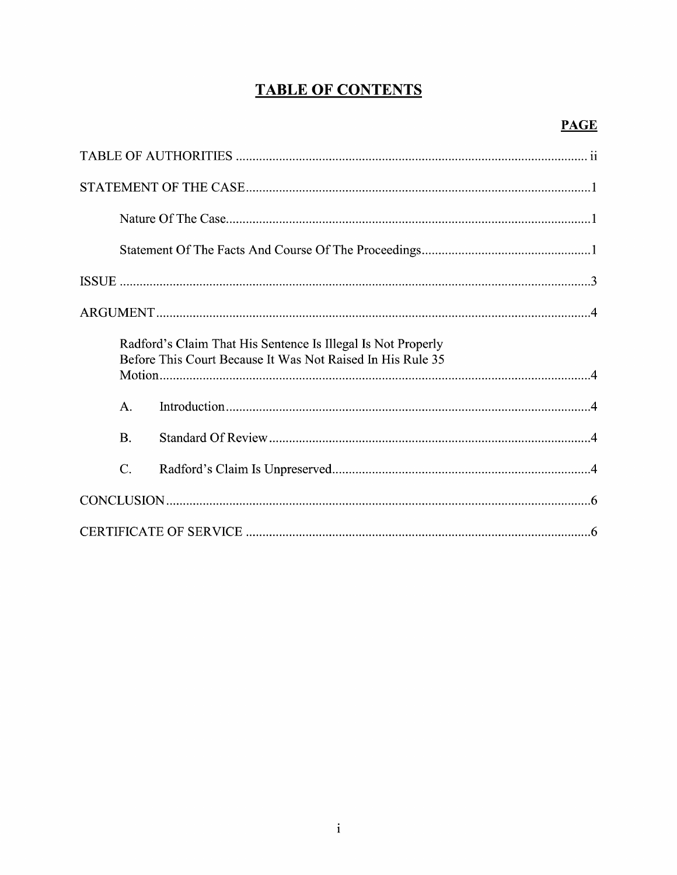# **TABLE OF CONTENTS**

|                 | Radford's Claim That His Sentence Is Illegal Is Not Properly<br>Before This Court Because It Was Not Raised In His Rule 35 |
|-----------------|----------------------------------------------------------------------------------------------------------------------------|
| A.              |                                                                                                                            |
| <b>B.</b>       |                                                                                                                            |
| $\mathcal{C}$ . |                                                                                                                            |
|                 |                                                                                                                            |
|                 |                                                                                                                            |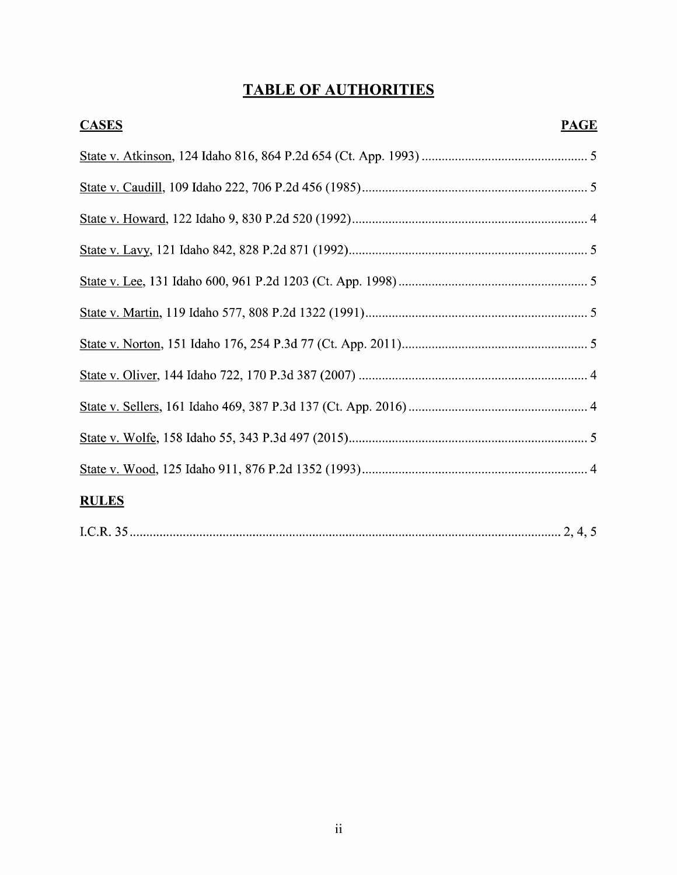# TABLE OF AUTHORITIES

| <b>CASES</b> | <b>PAGE</b> |
|--------------|-------------|
|              |             |
|              |             |
|              |             |
|              |             |
|              |             |
|              |             |
|              |             |
|              |             |
|              |             |
|              |             |
|              |             |
| <b>RULES</b> |             |
|              |             |

|--|--|--|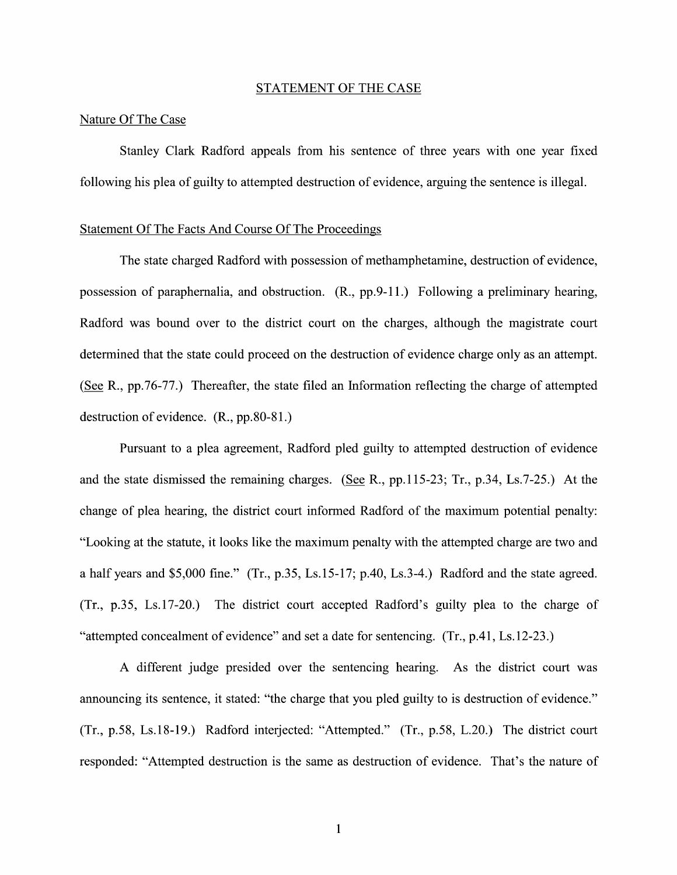#### STATEMENT OF THE CASE

#### Nature Of The Case

Stanley Clark Radford appeals from his sentence 0f three years With one year fixed following his plea of guilty to attempted destruction of evidence, arguing the sentence is illegal.

#### Statement Of The Facts And Course Of The Proceedings

The state charged Radford with possession of methamphetamine, destruction of evidence, possession of paraphernalia, and obstruction.  $(R., pp.9-11.)$  Following a preliminary hearing, Radford was bound over to the district court on the charges, although the magistrate court determined that the state could proceed on the destruction of evidence charge only as an attempt. (See R.,  $pp.76-77$ .) Thereafter, the state filed an Information reflecting the charge of attempted destruction 0f evidence. (R., pp.80-81.)

Pursuant to a plea agreement, Radford pled guilty to attempted destruction of evidence and the state dismissed the remaining charges. (See R., pp.115-23; Tr., p.34, Ls.7-25.) At the change 0f plea hearing, the district court informed Radford of the maximum potential penalty: "Looking at the statute, it looks like the maximum penalty with the attempted charge are two and a half years and \$5,000 fine." (Tr., p.35, Ls.15-17; p.40, Ls.3-4.) Radford and the state agreed.  $(Tr, p.35, Ls.17-20.)$  The district court accepted Radford's guilty plea to the charge of "attempted concealment of evidence" and set a date for sentencing.  $(Tr, p.41, Ls. 12-23.)$ 

different judge presided over the sentencing hearing. As the district court was announcing its sentence, it stated: "the charge that you pled guilty to is destruction of evidence." (Tr., p.58, Ls.18-19.) Radford interjected: "Attempted." (Tr., p.58, L.20.) The district court responded: "Attempted destruction is the same as destruction of evidence. That's the nature of

 $\mathbf{1}$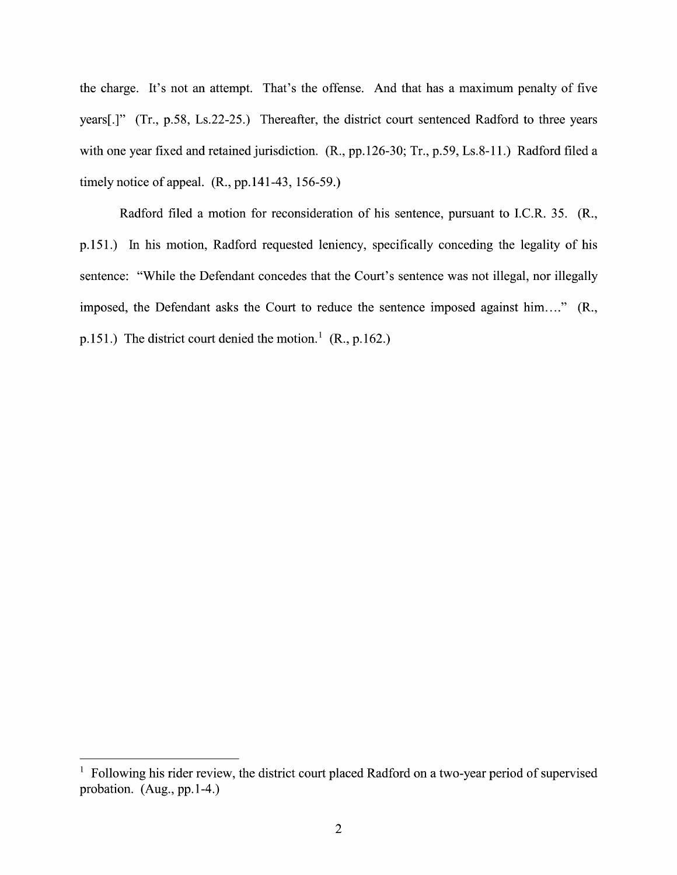the charge. It's not an attempt. That's the offense. And that has a maximum penalty of five years[.]" (Tr., p.58, Ls.22-25.) Thereafter, the district court sentenced Radford to three years with one year fixed and retained jurisdiction. (R., pp.126-30; Tr., p.59, Ls.8-11.) Radford filed a timely notice of appeal. (R., pp.141-43, 156-59.)

Radford filed a motion for reconsideration of his sentence, pursuant to I.C.R. 35. (R., p.151.) In his motion, Radford requested leniency, specifically conceding the legality of his sentence: "While the Defendant concedes that the Court's sentence was not illegal, nor illegally imposed, the Defendant asks the Court to reduce the sentence imposed against him...." (R., p. 151.) The district court denied the motion.<sup>1</sup> (R., p. 162.)

 $<sup>1</sup>$  Following his rider review, the district court placed Radford on a two-year period of supervised</sup> probation. (Aug, pp.1-4.)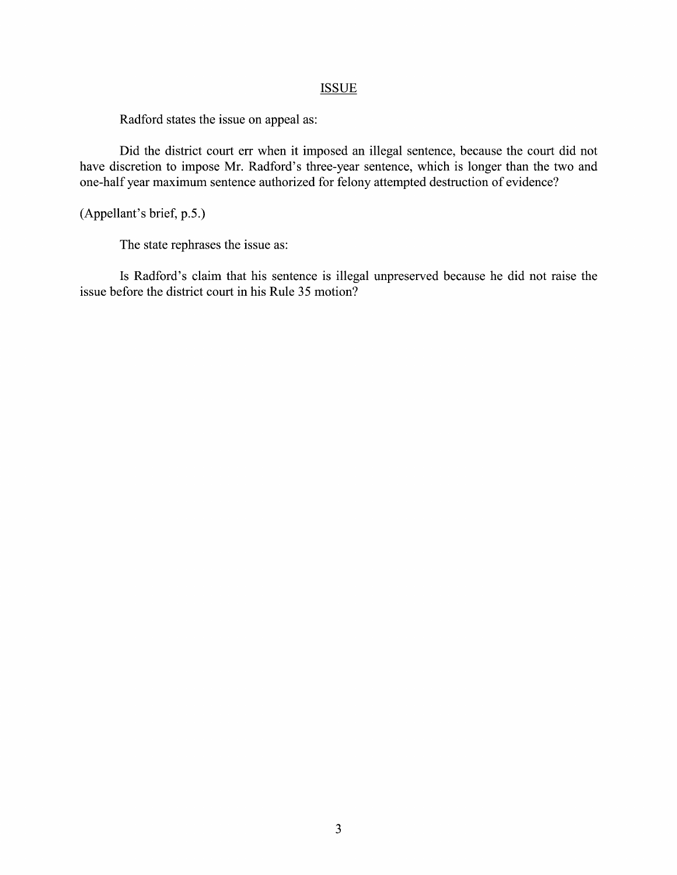## **ISSUE**

Radford states the issue on appeal as:

Did the district court err when it imposed an illegal sentence, because the court did not have discretion to impose Mr. Radford's three-year sentence, which is longer than the two and one-half year maximum sentence authorized for felony attempted destruction 0f evidence?

(Appellant's brief, p.5.)

The state rephrases the issue as:

Is Radford's claim that his sentence is illegal unpreserved because he did not raise the issue before the district court in his Rule <sup>35</sup> motion?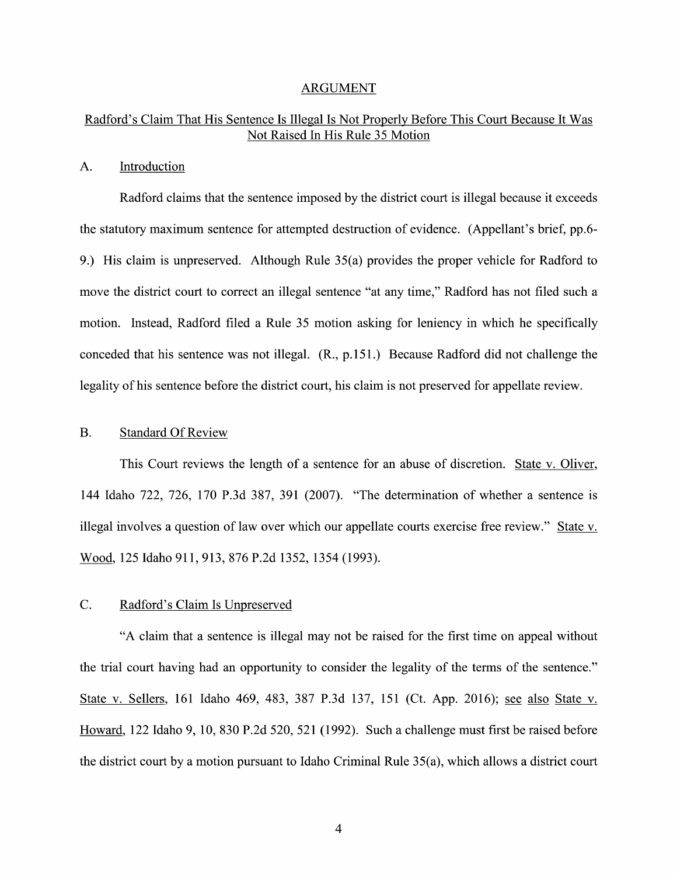#### ARGUMENT

## Radford's Claim That His Sentence Is Illegal Is Not Properly Before This Court Because It Was Not Raised In His Rule 35 Motion

## A. Introduction

Radford claims that the sentence imposed by the district court is illegal because it exceeds the statutory maximum sentence for attempted destruction of evidence. (Appellant's brief, pp.6- 9.) His claim is unpreserved. Although Rule 35(a) provides the proper vehicle for Radford to move the district court to correct an illegal sentence "at any time," Radford has not filed such motion. Instead, Radford filed a Rule 35 motion asking for leniency in which he specifically conceded that his sentence was not illegal. (R., p.151.) Because Radford did not challenge the legality 0f his sentence before the district court, his claim is not preserved for appellate review.

## B. Standard Of Review

This Court reviews the length of a sentence for an abuse of discretion. State v. Oliver, 144 Idaho 722, 726, 170 P.3d 387, 391 (2007). "The determination of whether a sentence is illegal involves a question of law over which our appellate courts exercise free review." State v. Wood, 125 Idaho 911, 913, 876 P.2d 1352, 1354 (1993).

### C. Radford's Claim Is Unpreserved

"A claim that a sentence is illegal may not be raised for the first time on appeal without the trial court having had an opportunity to consider the legality of the terms of the sentence." State v. Sellers, 161 Idaho 469, 483, 387 P.3d 137, 151 (Ct. App. 2016); see also State v. Howard, 122 Idaho 9, 10, 830 P.2d 520, 521 (1992). Such a challenge must first be raised before the district court by a motion pursuant to Idaho Criminal Rule  $35(a)$ , which allows a district court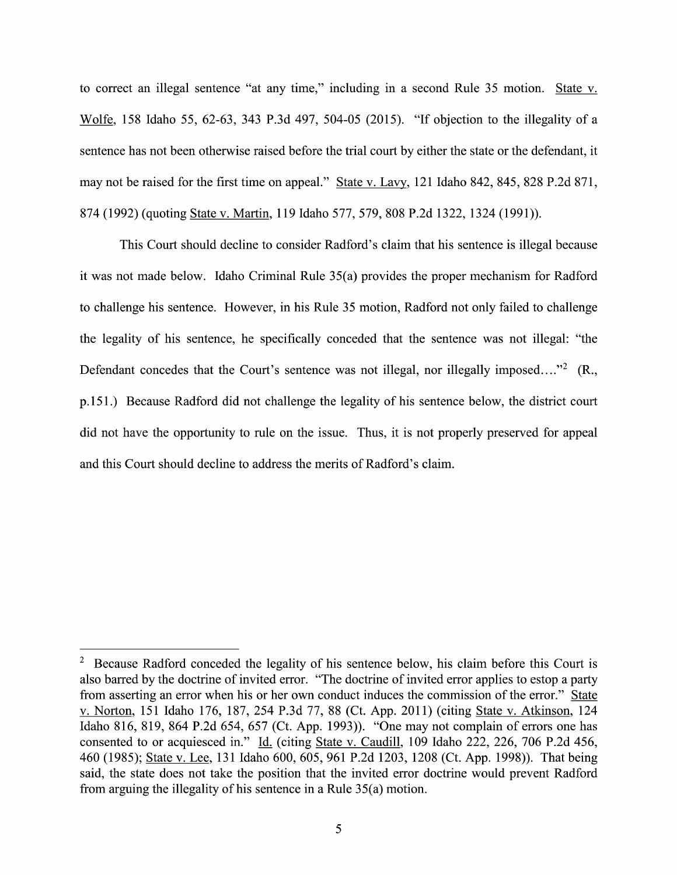to correct an illegal sentence "at any time," including in a second Rule 35 motion. State v. Wolfe, 158 Idaho 55, 62-63, 343 P.3d 497, 504-05 (2015). "If objection to the illegality of a sentence has not been otherwise raised before the trial court by either the state or the defendant, it may not be raised for the first time on appeal." State v. Lavy, 121 Idaho 842, 845, 828 P.2d 871, <sup>874</sup> (1992) (quoting State V. Martin, <sup>119</sup> Idaho 577, 579, <sup>808</sup> P.2d 1322, <sup>1324</sup> (1991)).

This Court should decline t0 consider Radford's claim that his sentence is illegal because it was not made below. Idaho Criminal Rule 35(a) provides the proper mechanism for Radford to challenge his sentence. However, in his Rule 35 motion, Radford not only failed to challenge the legality of his sentence, he specifically conceded that the sentence was not illegal: "the Defendant concedes that the Court's sentence was not illegal, nor illegally imposed...."<sup>2</sup> (R., p.151.) Because Radford did not challenge the legality of his sentence below, the district court did not have the opportunity to rule on the issue. Thus, it is not properly preserved for appeal and this Court should decline t0 address the merits of Radford's claim.

 $2\degree$  Because Radford conceded the legality of his sentence below, his claim before this Court is also barred by the doctrine of invited error. "The doctrine of invited error applies to estop a party from asserting an error when his or her own conduct induces the commission of the error." Sta also barred by the doctrine of invited error. The doctrine of invited error applies to estop a party<br>from asserting an error when his or her own conduct induces the commission of the error." State<br>v. Norton, 151 Idaho 176, Idaho 816, 819, 864 P.2d 654, 657 (Ct. App. 1993)). "One may not complain 0f errors one has consented to or acquiesced in."  $\underline{Id}$  (citing State v. Caudill, 109 Idaho 222, 226, 706 P.2d 456, Idaho 816, 819, 864 P.2d 654, 657 (Ct. App. 1993)). "One may not complain of errors one has<br>consented to or acquiesced in." <u>Id.</u> (citing <u>State v. Caudill</u>, 109 Idaho 222, 226, 706 P.2d 456,<br>460 (1985); <u>State v. Lee</u>, 1 said, the state does not take the position that the invited error doctrine would prevent Radford from arguing the illegality of his sentence in a Rule  $35(a)$  motion.